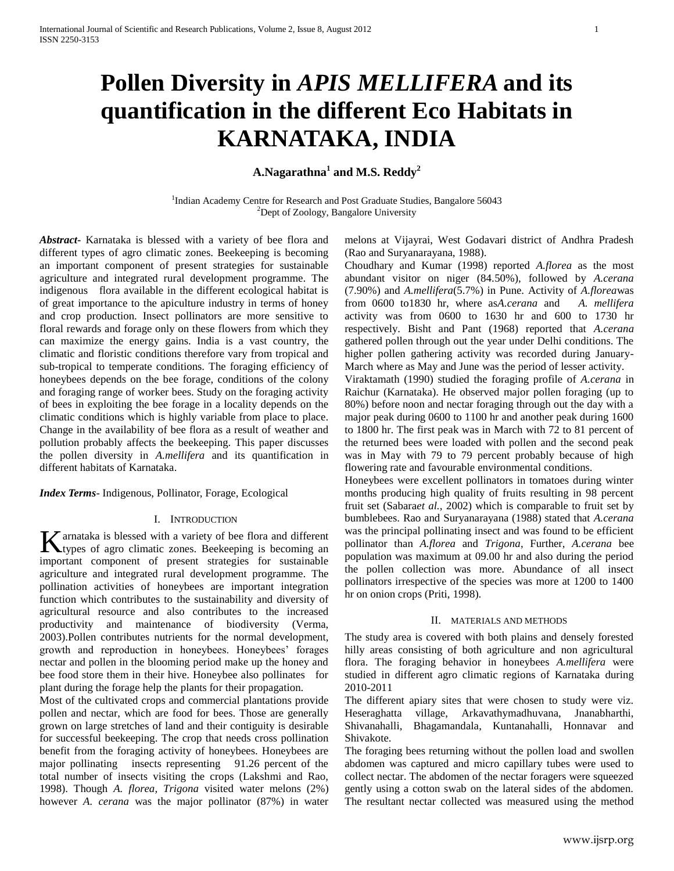# **Pollen Diversity in** *APIS MELLIFERA* **and its quantification in the different Eco Habitats in KARNATAKA, INDIA**

**A.Nagarathna<sup>1</sup> and M.S. Reddy<sup>2</sup>**

<sup>1</sup>Indian Academy Centre for Research and Post Graduate Studies, Bangalore 56043 <sup>2</sup>Dept of Zoology, Bangalore University

*Abstract***-** Karnataka is blessed with a variety of bee flora and different types of agro climatic zones. Beekeeping is becoming an important component of present strategies for sustainable agriculture and integrated rural development programme. The indigenous flora available in the different ecological habitat is of great importance to the apiculture industry in terms of honey and crop production. Insect pollinators are more sensitive to floral rewards and forage only on these flowers from which they can maximize the energy gains. India is a vast country, the climatic and floristic conditions therefore vary from tropical and sub-tropical to temperate conditions. The foraging efficiency of honeybees depends on the bee forage, conditions of the colony and foraging range of worker bees. Study on the foraging activity of bees in exploiting the bee forage in a locality depends on the climatic conditions which is highly variable from place to place. Change in the availability of bee flora as a result of weather and pollution probably affects the beekeeping. This paper discusses the pollen diversity in *A.mellifera* and its quantification in different habitats of Karnataka.

*Index Terms*- Indigenous, Pollinator, Forage, Ecological

## I. INTRODUCTION

 $\tau$  arnataka is blessed with a variety of bee flora and different K arnataka is blessed with a variety of bee flora and different types of agro climatic zones. Beekeeping is becoming an important component of present strategies for sustainable agriculture and integrated rural development programme. The pollination activities of honeybees are important integration function which contributes to the sustainability and diversity of agricultural resource and also contributes to the increased productivity and maintenance of biodiversity (Verma, 2003).Pollen contributes nutrients for the normal development, growth and reproduction in honeybees. Honeybees' forages nectar and pollen in the blooming period make up the honey and bee food store them in their hive. Honeybee also pollinates for plant during the forage help the plants for their propagation.

Most of the cultivated crops and commercial plantations provide pollen and nectar, which are food for bees. Those are generally grown on large stretches of land and their contiguity is desirable for successful beekeeping. The crop that needs cross pollination benefit from the foraging activity of honeybees. Honeybees are major pollinating insects representing 91.26 percent of the total number of insects visiting the crops (Lakshmi and Rao, 1998). Though *A. florea, Trigona* visited water melons (2%) however *A. cerana* was the major pollinator (87%) in water

melons at Vijayrai, West Godavari district of Andhra Pradesh (Rao and Suryanarayana, 1988).

Choudhary and Kumar (1998) reported *A.florea* as the most abundant visitor on niger (84.50%), followed by *A.cerana* (7.90%) and *A.mellifera*(5.7%) in Pune. Activity of *A.florea*was from 0600 to1830 hr, where as*A.cerana* and *A. mellifera* activity was from 0600 to 1630 hr and 600 to 1730 hr respectively. Bisht and Pant (1968) reported that *A.cerana* gathered pollen through out the year under Delhi conditions. The higher pollen gathering activity was recorded during January-March where as May and June was the period of lesser activity.

Viraktamath (1990) studied the foraging profile of *A.cerana* in Raichur (Karnataka). He observed major pollen foraging (up to 80%) before noon and nectar foraging through out the day with a major peak during 0600 to 1100 hr and another peak during 1600 to 1800 hr. The first peak was in March with 72 to 81 percent of the returned bees were loaded with pollen and the second peak was in May with 79 to 79 percent probably because of high flowering rate and favourable environmental conditions.

Honeybees were excellent pollinators in tomatoes during winter months producing high quality of fruits resulting in 98 percent fruit set (Sabara*et al.,* 2002) which is comparable to fruit set by bumblebees. Rao and Suryanarayana (1988) stated that *A.cerana* was the principal pollinating insect and was found to be efficient pollinator than *A.florea* and *Trigona*, Further, *A.cerana* bee population was maximum at 09.00 hr and also during the period the pollen collection was more. Abundance of all insect pollinators irrespective of the species was more at 1200 to 1400 hr on onion crops (Priti, 1998).

#### II. MATERIALS AND METHODS

The study area is covered with both plains and densely forested hilly areas consisting of both agriculture and non agricultural flora. The foraging behavior in honeybees *A.mellifera* were studied in different agro climatic regions of Karnataka during 2010-2011

The different apiary sites that were chosen to study were viz. Heseraghatta village, Arkavathymadhuvana, Jnanabharthi, Shivanahalli, Bhagamandala, Kuntanahalli, Honnavar and Shivakote.

The foraging bees returning without the pollen load and swollen abdomen was captured and micro capillary tubes were used to collect nectar. The abdomen of the nectar foragers were squeezed gently using a cotton swab on the lateral sides of the abdomen. The resultant nectar collected was measured using the method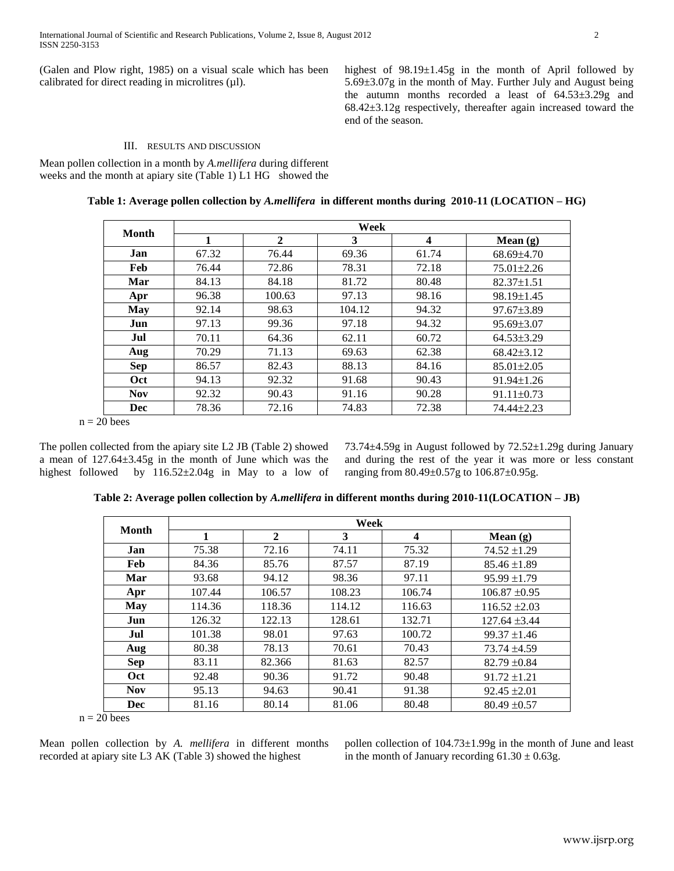(Galen and Plow right, 1985) on a visual scale which has been calibrated for direct reading in microlitres  $(\mu l)$ .

highest of 98.19±1.45g in the month of April followed by 5.69±3.07g in the month of May. Further July and August being the autumn months recorded a least of 64.53±3.29g and 68.42±3.12g respectively, thereafter again increased toward the end of the season.

## III. RESULTS AND DISCUSSION

Mean pollen collection in a month by *A.mellifera* during different weeks and the month at apiary site (Table 1) L1 HG showed the

|            | Week  |              |        |       |                  |  |  |  |
|------------|-------|--------------|--------|-------|------------------|--|--|--|
| Month      | 1     | $\mathbf{2}$ | 3      | 4     | Mean $(g)$       |  |  |  |
| Jan        | 67.32 | 76.44        | 69.36  | 61.74 | 68.69±4.70       |  |  |  |
| Feb        | 76.44 | 72.86        | 78.31  | 72.18 | $75.01 \pm 2.26$ |  |  |  |
| Mar        | 84.13 | 84.18        | 81.72  | 80.48 | $82.37 \pm 1.51$ |  |  |  |
| Apr        | 96.38 | 100.63       | 97.13  | 98.16 | 98.19±1.45       |  |  |  |
| May        | 92.14 | 98.63        | 104.12 | 94.32 | $97.67 \pm 3.89$ |  |  |  |
| Jun        | 97.13 | 99.36        | 97.18  | 94.32 | $95.69 \pm 3.07$ |  |  |  |
| Jul        | 70.11 | 64.36        | 62.11  | 60.72 | $64.53\pm3.29$   |  |  |  |
| Aug        | 70.29 | 71.13        | 69.63  | 62.38 | $68.42 \pm 3.12$ |  |  |  |
| <b>Sep</b> | 86.57 | 82.43        | 88.13  | 84.16 | $85.01 \pm 2.05$ |  |  |  |
| Oct        | 94.13 | 92.32        | 91.68  | 90.43 | $91.94 \pm 1.26$ |  |  |  |
| <b>Nov</b> | 92.32 | 90.43        | 91.16  | 90.28 | $91.11 \pm 0.73$ |  |  |  |
| Dec        | 78.36 | 72.16        | 74.83  | 72.38 | 74.44±2.23       |  |  |  |

**Table 1: Average pollen collection by** *A.mellifera* **in different months during 2010-11 (LOCATION – HG)**

 $n = 20$  bees

The pollen collected from the apiary site L2 JB (Table 2) showed a mean of 127.64±3.45g in the month of June which was the highest followed by 116.52±2.04g in May to a low of 73.74±4.59g in August followed by 72.52±1.29g during January and during the rest of the year it was more or less constant ranging from 80.49±0.57g to 106.87±0.95g.

| Month      | Week   |              |        |                         |                   |  |  |  |
|------------|--------|--------------|--------|-------------------------|-------------------|--|--|--|
|            | 1      | $\mathbf{2}$ | 3      | $\overline{\mathbf{4}}$ | Mean $(g)$        |  |  |  |
| Jan        | 75.38  | 72.16        | 74.11  | 75.32                   | $74.52 \pm 1.29$  |  |  |  |
| <b>Feb</b> | 84.36  | 85.76        | 87.57  | 87.19                   | $85.46 \pm 1.89$  |  |  |  |
| Mar        | 93.68  | 94.12        | 98.36  | 97.11                   | $95.99 \pm 1.79$  |  |  |  |
| Apr        | 107.44 | 106.57       | 108.23 | 106.74                  | $106.87 \pm 0.95$ |  |  |  |
| May        | 114.36 | 118.36       | 114.12 | 116.63                  | $116.52 \pm 2.03$ |  |  |  |
| Jun        | 126.32 | 122.13       | 128.61 | 132.71                  | $127.64 \pm 3.44$ |  |  |  |
| Jul        | 101.38 | 98.01        | 97.63  | 100.72                  | $99.37 \pm 1.46$  |  |  |  |
| Aug        | 80.38  | 78.13        | 70.61  | 70.43                   | $73.74 \pm 4.59$  |  |  |  |
| <b>Sep</b> | 83.11  | 82.366       | 81.63  | 82.57                   | $82.79 \pm 0.84$  |  |  |  |
| Oct        | 92.48  | 90.36        | 91.72  | 90.48                   | $91.72 \pm 1.21$  |  |  |  |
| <b>Nov</b> | 95.13  | 94.63        | 90.41  | 91.38                   | $92.45 \pm 2.01$  |  |  |  |
| Dec        | 81.16  | 80.14        | 81.06  | 80.48                   | $80.49 \pm 0.57$  |  |  |  |

**Table 2: Average pollen collection by** *A.mellifera* **in different months during 2010-11(LOCATION – JB)**

 $n = 20$  bees

Mean pollen collection by *A. mellifera* in different months recorded at apiary site L3 AK (Table 3) showed the highest

pollen collection of 104.73±1.99g in the month of June and least in the month of January recording  $61.30 \pm 0.63$ g.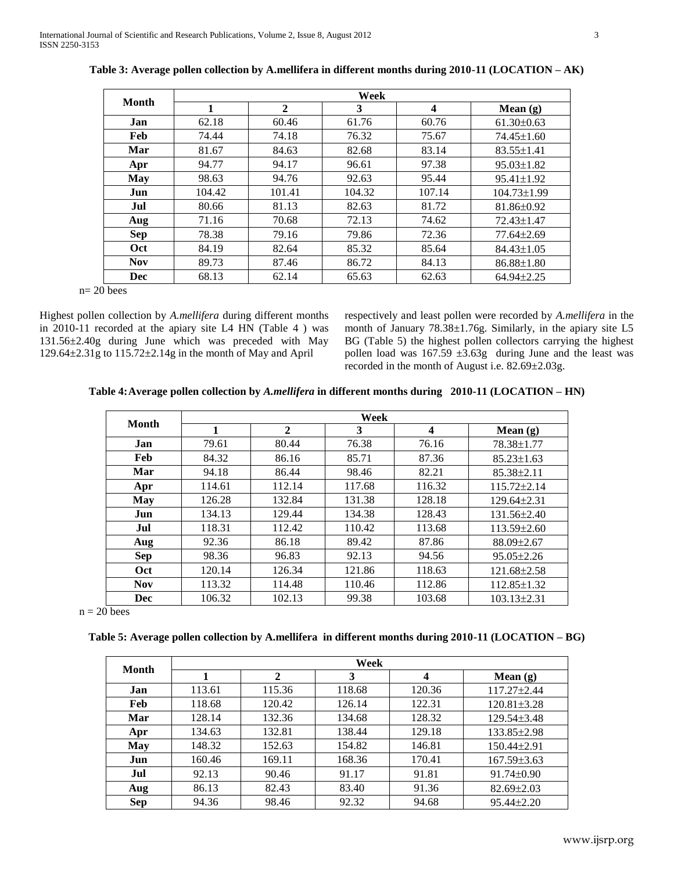|            | Week   |              |        |                         |                   |  |  |  |
|------------|--------|--------------|--------|-------------------------|-------------------|--|--|--|
| Month      | 1      | $\mathbf{2}$ | 3      | $\overline{\mathbf{4}}$ | Mean $(g)$        |  |  |  |
| Jan        | 62.18  | 60.46        | 61.76  | 60.76                   | $61.30 \pm 0.63$  |  |  |  |
| Feb        | 74.44  | 74.18        | 76.32  | 75.67                   | $74.45 \pm 1.60$  |  |  |  |
| Mar        | 81.67  | 84.63        | 82.68  | 83.14                   | $83.55 \pm 1.41$  |  |  |  |
| Apr        | 94.77  | 94.17        | 96.61  | 97.38                   | $95.03 \pm 1.82$  |  |  |  |
| <b>May</b> | 98.63  | 94.76        | 92.63  | 95.44                   | $95.41 \pm 1.92$  |  |  |  |
| Jun        | 104.42 | 101.41       | 104.32 | 107.14                  | $104.73 \pm 1.99$ |  |  |  |
| Jul        | 80.66  | 81.13        | 82.63  | 81.72                   | 81.86±0.92        |  |  |  |
| Aug        | 71.16  | 70.68        | 72.13  | 74.62                   | 72.43±1.47        |  |  |  |
| <b>Sep</b> | 78.38  | 79.16        | 79.86  | 72.36                   | 77.64±2.69        |  |  |  |
| Oct        | 84.19  | 82.64        | 85.32  | 85.64                   | $84.43 \pm 1.05$  |  |  |  |
| <b>Nov</b> | 89.73  | 87.46        | 86.72  | 84.13                   | $86.88 \pm 1.80$  |  |  |  |
| Dec        | 68.13  | 62.14        | 65.63  | 62.63                   | $64.94 \pm 2.25$  |  |  |  |

**Table 3: Average pollen collection by A.mellifera in different months during 2010-11 (LOCATION – AK)**

n= 20 bees

Highest pollen collection by *A.mellifera* during different months in 2010-11 recorded at the apiary site L4 HN (Table 4 ) was 131.56±2.40g during June which was preceded with May 129.64 $\pm$ 2.31g to 115.72 $\pm$ 2.14g in the month of May and April

respectively and least pollen were recorded by *A.mellifera* in the month of January 78.38±1.76g. Similarly, in the apiary site L5 BG (Table 5) the highest pollen collectors carrying the highest pollen load was  $167.59 \pm 3.63g$  during June and the least was recorded in the month of August i.e. 82.69±2.03g.

**Table 4:Average pollen collection by** *A.mellifera* **in different months during 2010-11 (LOCATION – HN)**

| Month      | Week   |              |        |                  |                   |  |  |  |
|------------|--------|--------------|--------|------------------|-------------------|--|--|--|
|            |        | $\mathbf{2}$ | 3      | $\boldsymbol{4}$ | Mean $(g)$        |  |  |  |
| Jan        | 79.61  | 80.44        | 76.38  | 76.16            | 78.38±1.77        |  |  |  |
| Feb        | 84.32  | 86.16        | 85.71  | 87.36            | $85.23 \pm 1.63$  |  |  |  |
| Mar        | 94.18  | 86.44        | 98.46  | 82.21            | $85.38 \pm 2.11$  |  |  |  |
| Apr        | 114.61 | 112.14       | 117.68 | 116.32           | $115.72 \pm 2.14$ |  |  |  |
| May        | 126.28 | 132.84       | 131.38 | 128.18           | $129.64 \pm 2.31$ |  |  |  |
| Jun        | 134.13 | 129.44       | 134.38 | 128.43           | $131.56 \pm 2.40$ |  |  |  |
| Jul        | 118.31 | 112.42       | 110.42 | 113.68           | $113.59 \pm 2.60$ |  |  |  |
| Aug        | 92.36  | 86.18        | 89.42  | 87.86            | 88.09±2.67        |  |  |  |
| <b>Sep</b> | 98.36  | 96.83        | 92.13  | 94.56            | $95.05 \pm 2.26$  |  |  |  |
| Oct        | 120.14 | 126.34       | 121.86 | 118.63           | $121.68 \pm 2.58$ |  |  |  |
| <b>Nov</b> | 113.32 | 114.48       | 110.46 | 112.86           | $112.85 \pm 1.32$ |  |  |  |
| Dec        | 106.32 | 102.13       | 99.38  | 103.68           | $103.13 \pm 2.31$ |  |  |  |

 $n = 20$  bees

**Table 5: Average pollen collection by A.mellifera in different months during 2010-11 (LOCATION – BG)**

| Month      | Week   |        |        |        |                   |  |  |  |
|------------|--------|--------|--------|--------|-------------------|--|--|--|
|            |        | 2      | 3      | 4      | Mean $(g)$        |  |  |  |
| Jan        | 113.61 | 115.36 | 118.68 | 120.36 | $117.27 \pm 2.44$ |  |  |  |
| Feb        | 118.68 | 120.42 | 126.14 | 122.31 | $120.81 \pm 3.28$ |  |  |  |
| Mar        | 128.14 | 132.36 | 134.68 | 128.32 | $129.54 \pm 3.48$ |  |  |  |
| Apr        | 134.63 | 132.81 | 138.44 | 129.18 | 133.85±2.98       |  |  |  |
| <b>May</b> | 148.32 | 152.63 | 154.82 | 146.81 | 150.44±2.91       |  |  |  |
| Jun        | 160.46 | 169.11 | 168.36 | 170.41 | $167.59 \pm 3.63$ |  |  |  |
| Jul        | 92.13  | 90.46  | 91.17  | 91.81  | $91.74 \pm 0.90$  |  |  |  |
| Aug        | 86.13  | 82.43  | 83.40  | 91.36  | $82.69 \pm 2.03$  |  |  |  |
| <b>Sep</b> | 94.36  | 98.46  | 92.32  | 94.68  | $95.44 \pm 2.20$  |  |  |  |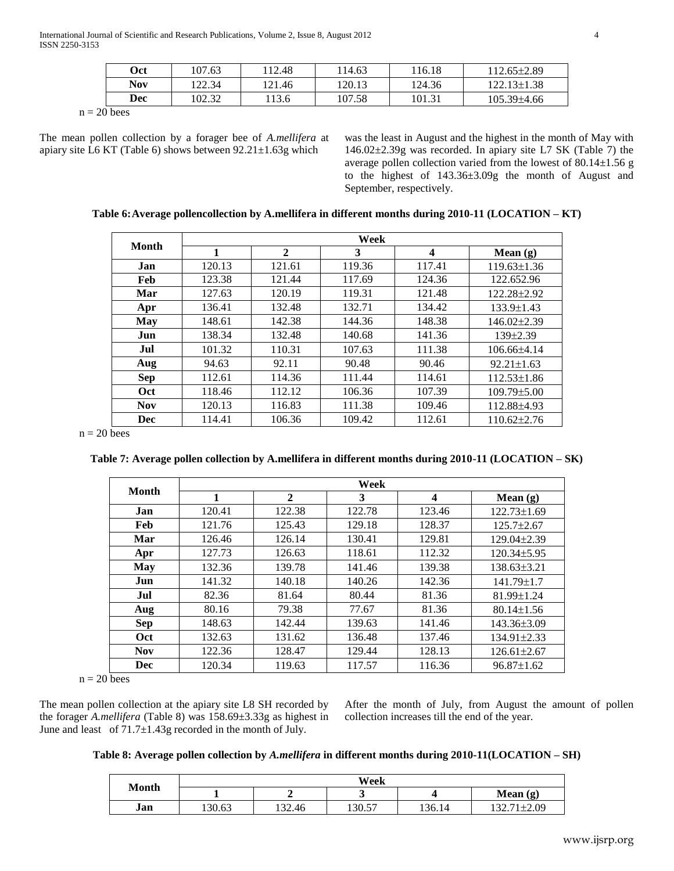International Journal of Scientific and Research Publications, Volume 2, Issue 8, August 2012 4 ISSN 2250-3153

| <b>Oct</b> | 107.63 | ! 12.48 | 114.63 | 116.18 | 112.65±2.89       |
|------------|--------|---------|--------|--------|-------------------|
| Nov        | 122.34 | 121.46  | 120.13 | 124.36 | 122.13±1.38       |
| Dec        | 102.32 | 13.6    | 107.58 | 101.31 | $105.39{\pm}4.66$ |

 $n = 20$  bees

The mean pollen collection by a forager bee of *A.mellifera* at apiary site L6 KT (Table 6) shows between 92.21±1.63g which

was the least in August and the highest in the month of May with 146.02±2.39g was recorded. In apiary site L7 SK (Table 7) the average pollen collection varied from the lowest of 80.14±1.56 g to the highest of 143.36±3.09g the month of August and September, respectively.

**Table 6:Average pollencollection by A.mellifera in different months during 2010-11 (LOCATION – KT)**

| <b>Month</b> | Week   |              |        |        |                   |  |  |  |
|--------------|--------|--------------|--------|--------|-------------------|--|--|--|
|              | 1      | $\mathbf{2}$ | 3      | 4      | Mean $(g)$        |  |  |  |
| Jan          | 120.13 | 121.61       | 119.36 | 117.41 | $119.63 \pm 1.36$ |  |  |  |
| Feb          | 123.38 | 121.44       | 117.69 | 124.36 | 122.652.96        |  |  |  |
| Mar          | 127.63 | 120.19       | 119.31 | 121.48 | 122.28±2.92       |  |  |  |
| Apr          | 136.41 | 132.48       | 132.71 | 134.42 | $133.9 \pm 1.43$  |  |  |  |
| May          | 148.61 | 142.38       | 144.36 | 148.38 | $146.02\pm2.39$   |  |  |  |
| Jun          | 138.34 | 132.48       | 140.68 | 141.36 | $139\pm2.39$      |  |  |  |
| Jul          | 101.32 | 110.31       | 107.63 | 111.38 | $106.66\pm4.14$   |  |  |  |
| Aug          | 94.63  | 92.11        | 90.48  | 90.46  | $92.21 \pm 1.63$  |  |  |  |
| <b>Sep</b>   | 112.61 | 114.36       | 111.44 | 114.61 | $112.53 \pm 1.86$ |  |  |  |
| Oct          | 118.46 | 112.12       | 106.36 | 107.39 | $109.79 \pm 5.00$ |  |  |  |
| <b>Nov</b>   | 120.13 | 116.83       | 111.38 | 109.46 | 112.88±4.93       |  |  |  |
| Dec          | 114.41 | 106.36       | 109.42 | 112.61 | $110.62 \pm 2.76$ |  |  |  |

 $n = 20$  bees

**Table 7: Average pollen collection by A.mellifera in different months during 2010-11 (LOCATION – SK)**

|            | Week   |              |        |        |                   |  |  |  |
|------------|--------|--------------|--------|--------|-------------------|--|--|--|
| Month      |        | $\mathbf{2}$ | 3      | 4      | Mean $(g)$        |  |  |  |
| Jan        | 120.41 | 122.38       | 122.78 | 123.46 | $122.73 \pm 1.69$ |  |  |  |
| Feb        | 121.76 | 125.43       | 129.18 | 128.37 | $125.7 \pm 2.67$  |  |  |  |
| Mar        | 126.46 | 126.14       | 130.41 | 129.81 | $129.04\pm2.39$   |  |  |  |
| Apr        | 127.73 | 126.63       | 118.61 | 112.32 | $120.34 \pm 5.95$ |  |  |  |
| May        | 132.36 | 139.78       | 141.46 | 139.38 | $138.63\pm3.21$   |  |  |  |
| Jun        | 141.32 | 140.18       | 140.26 | 142.36 | $141.79 \pm 1.7$  |  |  |  |
| Jul        | 82.36  | 81.64        | 80.44  | 81.36  | 81.99±1.24        |  |  |  |
| Aug        | 80.16  | 79.38        | 77.67  | 81.36  | $80.14 \pm 1.56$  |  |  |  |
| <b>Sep</b> | 148.63 | 142.44       | 139.63 | 141.46 | 143.36±3.09       |  |  |  |
| Oct        | 132.63 | 131.62       | 136.48 | 137.46 | $134.91 \pm 2.33$ |  |  |  |
| <b>Nov</b> | 122.36 | 128.47       | 129.44 | 128.13 | $126.61 \pm 2.67$ |  |  |  |
| Dec        | 120.34 | 119.63       | 117.57 | 116.36 | $96.87 \pm 1.62$  |  |  |  |

 $n = 20$  bees

The mean pollen collection at the apiary site L8 SH recorded by the forager *A.mellifera* (Table 8) was 158.69±3.33g as highest in June and least of 71.7±1.43g recorded in the month of July.

After the month of July, from August the amount of pollen collection increases till the end of the year.

|  |  | Table 8: Average pollen collection by A.mellifera in different months during 2010-11(LOCATION – SH) |  |  |
|--|--|-----------------------------------------------------------------------------------------------------|--|--|
|  |  |                                                                                                     |  |  |

|              | Week   |                  |        |        |                        |  |  |
|--------------|--------|------------------|--------|--------|------------------------|--|--|
| <b>Month</b> |        |                  |        |        | Mean $(g)$             |  |  |
| Jan          | 130.63 | $\sim$<br>.52.46 | 130.57 | 136.14 | ±2.09<br>$\sim$ $\sim$ |  |  |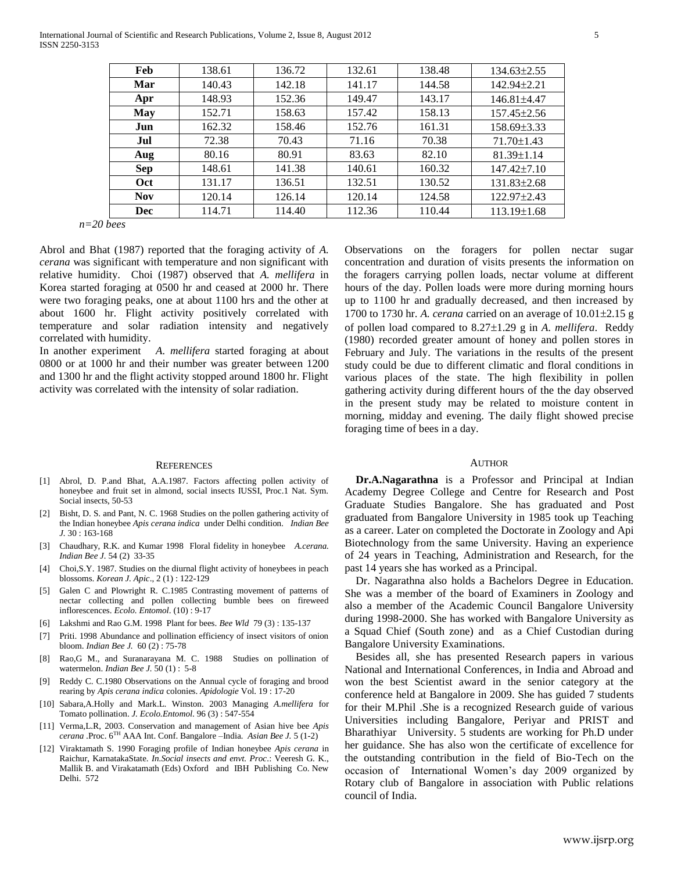International Journal of Scientific and Research Publications, Volume 2, Issue 8, August 2012 5 ISSN 2250-3153

| Feb        | 138.61 | 136.72 | 132.61 | 138.48 | $134.63 \pm 2.55$ |
|------------|--------|--------|--------|--------|-------------------|
| Mar        | 140.43 | 142.18 | 141.17 | 144.58 | 142.94±2.21       |
| Apr        | 148.93 | 152.36 | 149.47 | 143.17 | 146.81±4.47       |
| <b>May</b> | 152.71 | 158.63 | 157.42 | 158.13 | $157.45 \pm 2.56$ |
| Jun        | 162.32 | 158.46 | 152.76 | 161.31 | 158.69±3.33       |
| Jul        | 72.38  | 70.43  | 71.16  | 70.38  | $71.70 \pm 1.43$  |
| Aug        | 80.16  | 80.91  | 83.63  | 82.10  | $81.39 \pm 1.14$  |
| Sep        | 148.61 | 141.38 | 140.61 | 160.32 | $147.42 \pm 7.10$ |
| Oct        | 131.17 | 136.51 | 132.51 | 130.52 | $131.83 \pm 2.68$ |
| <b>Nov</b> | 120.14 | 126.14 | 120.14 | 124.58 | 122.97±2.43       |
| Dec        | 114.71 | 114.40 | 112.36 | 110.44 | $113.19 \pm 1.68$ |

*n=20 bees*

Abrol and Bhat (1987) reported that the foraging activity of *A. cerana* was significant with temperature and non significant with relative humidity. Choi (1987) observed that *A. mellifera* in Korea started foraging at 0500 hr and ceased at 2000 hr. There were two foraging peaks, one at about 1100 hrs and the other at about 1600 hr. Flight activity positively correlated with temperature and solar radiation intensity and negatively correlated with humidity.

In another experiment *A. mellifera* started foraging at about 0800 or at 1000 hr and their number was greater between 1200 and 1300 hr and the flight activity stopped around 1800 hr. Flight activity was correlated with the intensity of solar radiation.

#### **REFERENCES**

- [1] Abrol, D. P.and Bhat, A.A.1987. Factors affecting pollen activity of honeybee and fruit set in almond, social insects IUSSI, Proc.1 Nat. Sym. Social insects, 50-53
- [2] Bisht, D. S. and Pant, N. C. 1968 Studies on the pollen gathering activity of the Indian honeybee *Apis cerana indica* under Delhi condition*. Indian Bee J.* 30 : 163-168
- [3] Chaudhary, R.K. and Kumar 1998 Floral fidelity in honeybee *A.cerana. Indian Bee J.* 54 (2) 33-35
- [4] Choi,S.Y. 1987. Studies on the diurnal flight activity of honeybees in peach blossoms. *Korean J. Apic*., 2 (1) : 122-129
- [5] Galen C and Plowright R. C.1985 Contrasting movement of patterns of nectar collecting and pollen collecting bumble bees on fireweed inflorescences. *Ecolo. Entomol*. (10) : 9-17
- [6] Lakshmi and Rao G.M. 1998 Plant for bees. *Bee Wld* 79 (3) : 135-137
- [7] Priti. 1998 Abundance and pollination efficiency of insect visitors of onion bloom. *Indian Bee J.* 60 (2) : 75-78
- [8] Rao,G M., and Suranarayana M. C. 1988 Studies on pollination of watermelon. *Indian Bee J.* 50 (1) : 5-8
- [9] Reddy C. C.1980 Observations on the Annual cycle of foraging and brood rearing by *Apis cerana indica* colonies. *Apidologie* Vol. 19 : 17-20
- [10] Sabara,A.Holly and Mark.L. Winston. 2003 Managing *A.mellifera* for Tomato pollination. *J. Ecolo.Entomol*. 96 (3) : 547-554
- [11] Verma,L.R, 2003. Conservation and management of Asian hive bee *Apis cerana* .Proc. 6TH AAA Int. Conf. Bangalore –India*. Asian Bee J.* 5 (1-2)
- [12] Viraktamath S. 1990 Foraging profile of Indian honeybee *Apis cerana* in Raichur, KarnatakaState. *In.Social insects and envt. Proc*.: Veeresh G. K., Mallik B. and Virakatamath (Eds) Oxford and IBH Publishing Co. New Delhi. 572

Observations on the foragers for pollen nectar sugar concentration and duration of visits presents the information on the foragers carrying pollen loads, nectar volume at different hours of the day. Pollen loads were more during morning hours up to 1100 hr and gradually decreased, and then increased by 1700 to 1730 hr. A. *cerana* carried on an average of  $10.01 \pm 2.15$  g of pollen load compared to 8.27±1.29 g in *A. mellifera*. Reddy (1980) recorded greater amount of honey and pollen stores in February and July. The variations in the results of the present study could be due to different climatic and floral conditions in various places of the state. The high flexibility in pollen gathering activity during different hours of the the day observed in the present study may be related to moisture content in morning, midday and evening. The daily flight showed precise foraging time of bees in a day.

#### **AUTHOR**

 **Dr.A.Nagarathna** is a Professor and Principal at Indian Academy Degree College and Centre for Research and Post Graduate Studies Bangalore. She has graduated and Post graduated from Bangalore University in 1985 took up Teaching as a career. Later on completed the Doctorate in Zoology and Api Biotechnology from the same University. Having an experience of 24 years in Teaching, Administration and Research, for the past 14 years she has worked as a Principal.

 Dr. Nagarathna also holds a Bachelors Degree in Education. She was a member of the board of Examiners in Zoology and also a member of the Academic Council Bangalore University during 1998-2000. She has worked with Bangalore University as a Squad Chief (South zone) and as a Chief Custodian during Bangalore University Examinations.

 Besides all, she has presented Research papers in various National and International Conferences, in India and Abroad and won the best Scientist award in the senior category at the conference held at Bangalore in 2009. She has guided 7 students for their M.Phil .She is a recognized Research guide of various Universities including Bangalore, Periyar and PRIST and Bharathiyar University. 5 students are working for Ph.D under her guidance. She has also won the certificate of excellence for the outstanding contribution in the field of Bio-Tech on the occasion of International Women's day 2009 organized by Rotary club of Bangalore in association with Public relations council of India.